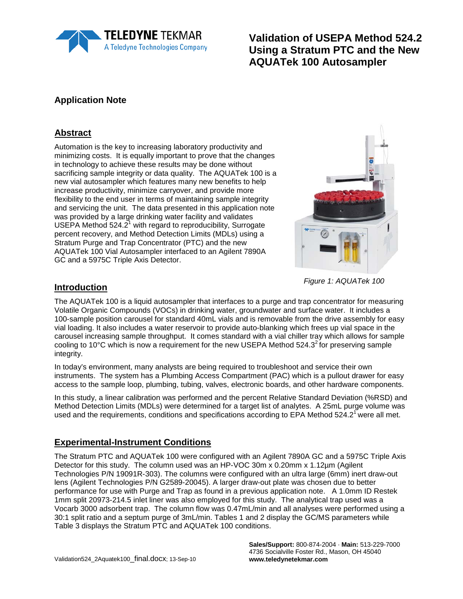

**Validation of USEPA Method 524.2 Using a Stratum PTC and the New AQUATek 100 Autosampler**

### **Application Note**

### **Abstract**

Automation is the key to increasing laboratory productivity and minimizing costs. It is equally important to prove that the changes in technology to achieve these results may be done without sacrificing sample integrity or data quality. The AQUATek 100 is a new vial autosampler which features many new benefits to help increase productivity, minimize carryover, and provide more flexibility to the end user in terms of maintaining sample integrity and servicing the unit. The data presented in this application note was provided by a large drinking water facility and validates USEPA Method  $524.2<sup>1</sup>$  with regard to reproducibility, Surrogate percent recovery, and Method Detection Limits (MDLs) using a Stratum Purge and Trap Concentrator (PTC) and the new AQUATek 100 Vial Autosampler interfaced to an Agilent 7890A GC and a 5975C Triple Axis Detector.



*Figure 1: AQUATek 100*

#### **Introduction**

The AQUATek 100 is a liquid autosampler that interfaces to a purge and trap concentrator for measuring Volatile Organic Compounds (VOCs) in drinking water, groundwater and surface water. It includes a 100-sample position carousel for standard 40mL vials and is removable from the drive assembly for easy vial loading. It also includes a water reservoir to provide auto-blanking which frees up vial space in the carousel increasing sample throughput. It comes standard with a vial chiller tray which allows for sample cooling to 10 $\degree$ C which is now a requirement for the new USEPA Method 524.3 $\degree$  for preserving sample integrity.

In today's environment, many analysts are being required to troubleshoot and service their own instruments. The system has a Plumbing Access Compartment (PAC) which is a pullout drawer for easy access to the sample loop, plumbing, tubing, valves, electronic boards, and other hardware components.

In this study, a linear calibration was performed and the percent Relative Standard Deviation (%RSD) and Method Detection Limits (MDLs) were determined for a target list of analytes. A 25mL purge volume was used and the requirements, conditions and specifications according to EPA Method  $524.2^{\circ}$  were all met.

### **Experimental-Instrument Conditions**

The Stratum PTC and AQUATek 100 were configured with an Agilent 7890A GC and a 5975C Triple Axis Detector for this study. The column used was an HP-VOC 30m x 0.20mm x 1.12µm (Agilent Technologies P/N 19091R-303). The columns were configured with an ultra large (6mm) inert draw-out lens (Agilent Technologies P/N G2589-20045). A larger draw-out plate was chosen due to better performance for use with Purge and Trap as found in a previous application note. A 1.0mm ID Restek 1mm split 20973-214.5 inlet liner was also employed for this study. The analytical trap used was a Vocarb 3000 adsorbent trap. The column flow was 0.47mL/min and all analyses were performed using a 30:1 split ratio and a septum purge of 3mL/min. Tables 1 and 2 display the GC/MS parameters while Table 3 displays the Stratum PTC and AQUATek 100 conditions.

> **Sales/Support:** 800-874-2004 · **Main:** 513-229-7000 4736 Socialville Foster Rd., Mason, OH 45040 **www.teledynetekmar.com**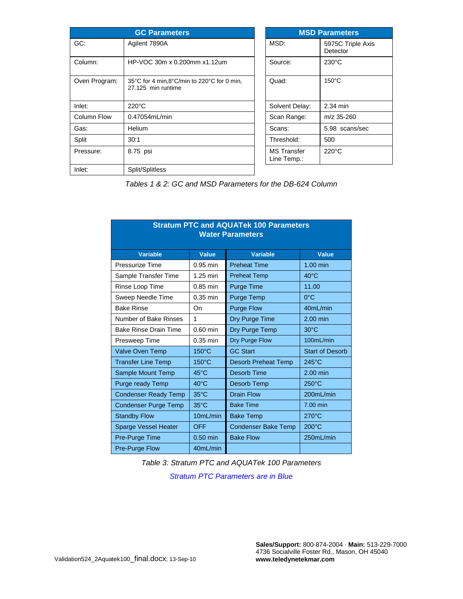| <b>GC Parameters</b> |                                                                  |  | <b>MSD Parameters</b>             |                        |  |
|----------------------|------------------------------------------------------------------|--|-----------------------------------|------------------------|--|
| GC:                  | Agilent 7890A                                                    |  | MSD:                              | 5975C Trip<br>Detector |  |
| Column:              | HP-VOC 30m x 0.200mm x1.12um                                     |  | Source:                           | $230^{\circ}$ C        |  |
| Oven Program:        | 35°C for 4 min,8°C/min to 220°C for 0 min,<br>27.125 min runtime |  | Quad:                             | $150^{\circ}$ C        |  |
| Inlet:               | $220^{\circ}$ C                                                  |  | Solvent Delay:                    | 2.34 min               |  |
| <b>Column Flow</b>   | 0.47054mL/min                                                    |  | Scan Range:                       | m/z 35-260             |  |
| Gas:                 | <b>Helium</b>                                                    |  | Scans:                            | 5.98 scans             |  |
| Split                | 30:1                                                             |  | Threshold:                        | 500                    |  |
| Pressure:            | 8.75 psi                                                         |  | <b>MS</b> Transfer<br>Line Temp.: | $220^{\circ}$ C        |  |
| Inlet:               | Split/Splitless                                                  |  |                                   |                        |  |

**rameters** 975C Triple Axis etector  $50^{\circ}$ C .98 scans/sec  $20^{\circ}$ C

*Tables 1 & 2: GC and MSD Parameters for the DB-624 Column*

| <b>Stratum PTC and AQUATek 100 Parameters</b><br><b>Water Parameters</b> |                 |                            |                        |  |  |  |
|--------------------------------------------------------------------------|-----------------|----------------------------|------------------------|--|--|--|
| <b>Variable</b>                                                          | Value           | <b>Variable</b>            | Value                  |  |  |  |
| Pressurize Time                                                          | $0.95$ min      | <b>Preheat Time</b>        | 1.00 min               |  |  |  |
| Sample Transfer Time                                                     | 1.25 min        | <b>Preheat Temp</b>        | $40^{\circ}$ C         |  |  |  |
| Rinse Loop Time                                                          | $0.85$ min      | <b>Purge Time</b>          | 11.00                  |  |  |  |
| Sweep Needle Time                                                        | $0.35$ min      | Purge Temp                 | $0^{\circ}$ C          |  |  |  |
| <b>Bake Rinse</b>                                                        | On              | <b>Purge Flow</b>          | 40mL/min               |  |  |  |
| Number of Bake Rinses                                                    | 1               | Dry Purge Time             | $2.00$ min             |  |  |  |
| <b>Bake Rinse Drain Time</b>                                             | $0.60$ min      | Dry Purge Temp             | $30^{\circ}$ C         |  |  |  |
| Presweep Time                                                            | $0.35$ min      | Dry Purge Flow             | 100mL/min              |  |  |  |
| <b>Valve Oven Temp</b>                                                   | $150^{\circ}$ C | <b>GC Start</b>            | <b>Start of Desorb</b> |  |  |  |
| <b>Transfer Line Temp</b>                                                | $150^{\circ}$ C | <b>Desorb Preheat Temp</b> | $245^{\circ}$ C        |  |  |  |
| Sample Mount Temp                                                        | 45°C            | Desorb Time                | 2.00 min               |  |  |  |
| Purge ready Temp                                                         | $40^{\circ}$ C  | Desorb Temp                | $250^{\circ}$ C        |  |  |  |
| <b>Condenser Ready Temp</b>                                              | $35^{\circ}$ C  | <b>Drain Flow</b>          | 200mL/min              |  |  |  |
| <b>Condenser Purge Temp</b>                                              | 35°C            | <b>Bake Time</b>           | 7.00 min               |  |  |  |
| <b>Standby Flow</b>                                                      | 10mL/min        | <b>Bake Temp</b>           | $270^{\circ}$ C        |  |  |  |
| Sparge Vessel Heater                                                     | OFF             | <b>Condenser Bake Temp</b> | $200^{\circ}$ C        |  |  |  |
| <b>Pre-Purge Time</b>                                                    | $0.50$ min      | <b>Bake Flow</b>           | 250mL/min              |  |  |  |
| <b>Pre-Purge Flow</b>                                                    | 40mL/min        |                            |                        |  |  |  |

*Table 3: Stratum PTC and AQUATek 100 Parameters* 

*Stratum PTC Parameters are in Blue*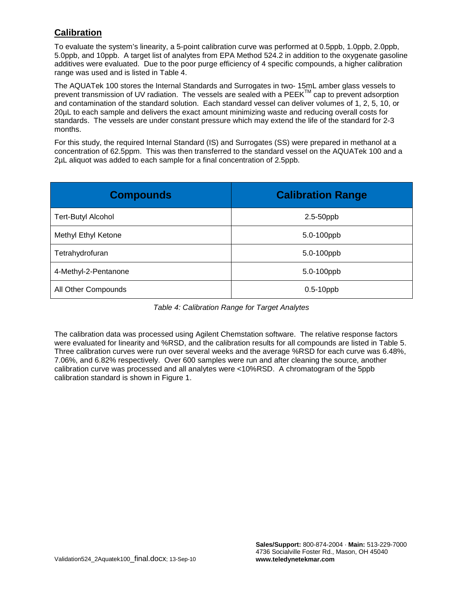### **Calibration**

To evaluate the system's linearity, a 5-point calibration curve was performed at 0.5ppb, 1.0ppb, 2.0ppb, 5.0ppb, and 10ppb. A target list of analytes from EPA Method 524.2 in addition to the oxygenate gasoline additives were evaluated. Due to the poor purge efficiency of 4 specific compounds, a higher calibration range was used and is listed in Table 4.

The AQUATek 100 stores the Internal Standards and Surrogates in two- 15mL amber glass vessels to prevent transmission of UV radiation. The vessels are sealed with a  $PEEK^{\text{IM}}$  cap to prevent adsorption and contamination of the standard solution. Each standard vessel can deliver volumes of 1, 2, 5, 10, or 20µL to each sample and delivers the exact amount minimizing waste and reducing overall costs for standards. The vessels are under constant pressure which may extend the life of the standard for 2-3 months.

For this study, the required Internal Standard (IS) and Surrogates (SS) were prepared in methanol at a concentration of 62.5ppm. This was then transferred to the standard vessel on the AQUATek 100 and a 2µL aliquot was added to each sample for a final concentration of 2.5ppb.

| <b>Compounds</b>          | <b>Calibration Range</b> |
|---------------------------|--------------------------|
| <b>Tert-Butyl Alcohol</b> | 2.5-50ppb                |
| Methyl Ethyl Ketone       | 5.0-100ppb               |
| Tetrahydrofuran           | 5.0-100ppb               |
| 4-Methyl-2-Pentanone      | 5.0-100ppb               |
| All Other Compounds       | $0.5-10$ ppb             |

*Table 4: Calibration Range for Target Analytes*

The calibration data was processed using Agilent Chemstation software. The relative response factors were evaluated for linearity and %RSD, and the calibration results for all compounds are listed in Table 5. Three calibration curves were run over several weeks and the average %RSD for each curve was 6.48%, 7.06%, and 6.82% respectively. Over 600 samples were run and after cleaning the source, another calibration curve was processed and all analytes were <10%RSD. A chromatogram of the 5ppb calibration standard is shown in Figure 1.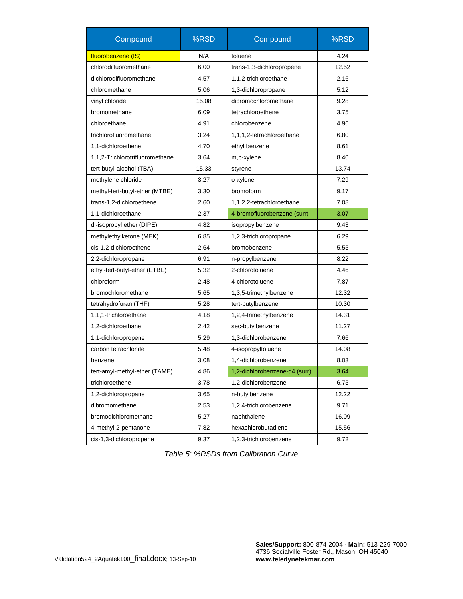| Compound                        | %RSD  | Compound                       | %RSD  |  |
|---------------------------------|-------|--------------------------------|-------|--|
| fluorobenzene (IS)              | N/A   | toluene                        | 4.24  |  |
| chlorodifluoromethane           | 6.00  | trans-1,3-dichloropropene      | 12.52 |  |
| dichlorodifluoromethane         | 4.57  | 1,1,2-trichloroethane          | 2.16  |  |
| chloromethane                   | 5.06  | 1,3-dichloropropane            | 5.12  |  |
| vinyl chloride                  | 15.08 | dibromochloromethane           | 9.28  |  |
| bromomethane                    | 6.09  | tetrachloroethene              | 3.75  |  |
| chloroethane                    | 4.91  | chlorobenzene                  | 4.96  |  |
| trichlorofluoromethane          | 3.24  | 1,1,1,2-tetrachloroethane      | 6.80  |  |
| 1,1-dichloroethene              | 4.70  | ethyl benzene                  | 8.61  |  |
| 1,1,2-Trichlorotrifluoromethane | 3.64  | m,p-xylene                     | 8.40  |  |
| tert-butyl-alcohol (TBA)        | 15.33 | styrene                        | 13.74 |  |
| methylene chloride              | 3.27  | o-xylene                       | 7.29  |  |
| methyl-tert-butyl-ether (MTBE)  | 3.30  | bromoform                      | 9.17  |  |
| trans-1,2-dichloroethene        | 2.60  | 1,1,2,2-tetrachloroethane      | 7.08  |  |
| 1,1-dichloroethane              | 2.37  | 4-bromofluorobenzene (surr)    | 3.07  |  |
| di-isopropyl ether (DIPE)       | 4.82  | isopropylbenzene               | 9.43  |  |
| methylethylketone (MEK)         | 6.85  | 1,2,3-trichloropropane         | 6.29  |  |
| cis-1,2-dichloroethene          | 2.64  | bromobenzene                   | 5.55  |  |
| 2,2-dichloropropane             | 6.91  | n-propylbenzene                | 8.22  |  |
| ethyl-tert-butyl-ether (ETBE)   | 5.32  | 2-chlorotoluene                | 4.46  |  |
| chloroform                      | 2.48  |                                | 7.87  |  |
| bromochloromethane              | 5.65  | 1,3,5-trimethylbenzene         | 12.32 |  |
| tetrahydrofuran (THF)           | 5.28  | tert-butylbenzene              | 10.30 |  |
| 1,1,1-trichloroethane           | 4.18  | 1,2,4-trimethylbenzene         | 14.31 |  |
| 1,2-dichloroethane              | 2.42  | sec-butylbenzene               | 11.27 |  |
| 1,1-dichloropropene             | 5.29  | 1,3-dichlorobenzene            | 7.66  |  |
| carbon tetrachloride            | 5.48  | 4-isopropyltoluene             | 14.08 |  |
| benzene                         | 3.08  | 1,4-dichlorobenzene            | 8.03  |  |
| tert-amyl-methyl-ether (TAME)   | 4.86  | 1,2-dichlorobenzene-d4 (surr)  | 3.64  |  |
| trichloroethene                 | 3.78  | 1,2-dichlorobenzene            | 6.75  |  |
| 1,2-dichloropropane<br>3.65     |       | n-butylbenzene                 | 12.22 |  |
| dibromomethane<br>2.53          |       | 1,2,4-trichlorobenzene         | 9.71  |  |
| bromodichloromethane            | 5.27  | naphthalene                    | 16.09 |  |
| 4-methyl-2-pentanone            | 7.82  | hexachlorobutadiene            | 15.56 |  |
| cis-1,3-dichloropropene         | 9.37  | 1,2,3-trichlorobenzene<br>9.72 |       |  |

*Table 5: %RSDs from Calibration Curve*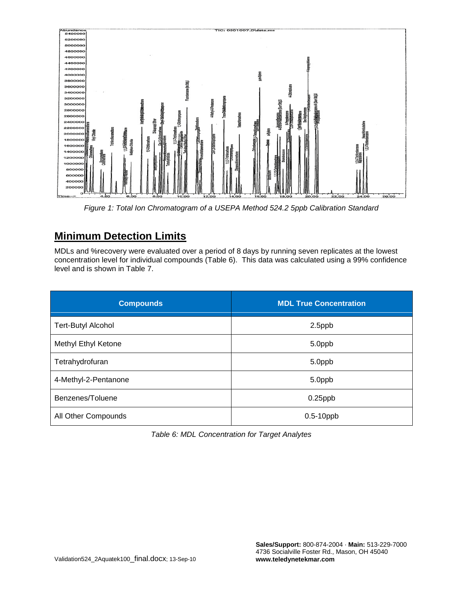

*Figure 1: Total Ion Chromatogram of a USEPA Method 524.2 5ppb Calibration Standard*

## **Minimum Detection Limits**

MDLs and %recovery were evaluated over a period of 8 days by running seven replicates at the lowest concentration level for individual compounds (Table 6). This data was calculated using a 99% confidence level and is shown in Table 7.

| <b>Compounds</b>          | <b>MDL True Concentration</b> |  |  |
|---------------------------|-------------------------------|--|--|
| <b>Tert-Butyl Alcohol</b> | 2.5ppb                        |  |  |
| Methyl Ethyl Ketone       | 5.0ppb                        |  |  |
| Tetrahydrofuran           | 5.0ppb                        |  |  |
| 4-Methyl-2-Pentanone      | 5.0ppb                        |  |  |
| Benzenes/Toluene          | $0.25$ ppb                    |  |  |
| All Other Compounds       | $0.5-10$ ppb                  |  |  |

*Table 6: MDL Concentration for Target Analytes*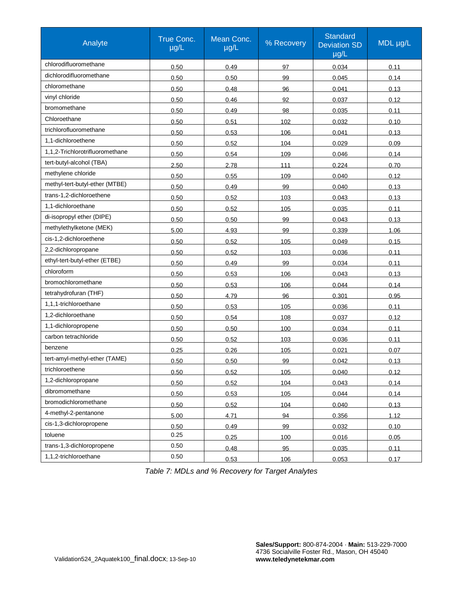| Analyte                         | True Conc.<br>$\mu$ g/L | Mean Conc.<br>$\mu$ g/L | % Recovery | <b>Standard</b><br><b>Deviation SD</b><br>µg/L | MDL µg/L |
|---------------------------------|-------------------------|-------------------------|------------|------------------------------------------------|----------|
| chlorodifluoromethane           | 0.50                    | 0.49                    | 97         | 0.034                                          | 0.11     |
| dichlorodifluoromethane         | 0.50                    | 0.50                    | 99         | 0.045                                          | 0.14     |
| chloromethane                   | 0.50                    | 0.48                    | 96         | 0.041                                          | 0.13     |
| vinyl chloride                  | 0.50                    | 0.46                    | 92         | 0.037                                          | 0.12     |
| bromomethane                    | 0.50                    | 0.49                    | 98         | 0.035                                          | 0.11     |
| Chloroethane                    | 0.50                    | 0.51                    | 102        | 0.032                                          | 0.10     |
| trichlorofluoromethane          | 0.50                    | 0.53                    | 106        | 0.041                                          | 0.13     |
| 1.1-dichloroethene              | 0.50                    | 0.52                    | 104        | 0.029                                          | 0.09     |
| 1,1,2-Trichlorotrifluoromethane | 0.50                    | 0.54                    | 109        | 0.046                                          | 0.14     |
| tert-butyl-alcohol (TBA)        | 2.50                    | 2.78                    | 111        | 0.224                                          | 0.70     |
| methylene chloride              | 0.50                    | 0.55                    | 109        | 0.040                                          | 0.12     |
| methyl-tert-butyl-ether (MTBE)  | 0.50                    | 0.49                    | 99         | 0.040                                          | 0.13     |
| trans-1,2-dichloroethene        | 0.50                    | 0.52                    | 103        | 0.043                                          | 0.13     |
| 1,1-dichloroethane              | 0.50                    | 0.52                    | 105        | 0.035                                          | 0.11     |
| di-isopropyl ether (DIPE)       | 0.50                    | 0.50                    | 99         | 0.043                                          | 0.13     |
| methylethylketone (MEK)         | 5.00                    | 4.93                    | 99         | 0.339                                          | 1.06     |
| cis-1,2-dichloroethene          | 0.50                    | 0.52                    | 105        | 0.049                                          | 0.15     |
| 2,2-dichloropropane             | 0.50                    | 0.52                    | 103        | 0.036                                          | 0.11     |
| ethyl-tert-butyl-ether (ETBE)   | 0.50                    | 0.49                    | 99         | 0.034                                          | 0.11     |
| chloroform                      | 0.50                    | 0.53                    | 106        | 0.043                                          | 0.13     |
| bromochloromethane              | 0.50                    | 0.53                    | 106        | 0.044                                          | 0.14     |
| tetrahydrofuran (THF)           | 0.50                    | 4.79                    | 96         | 0.301                                          | 0.95     |
| 1,1,1-trichloroethane           | 0.50                    | 0.53                    | 105        | 0.036                                          | 0.11     |
| 1,2-dichloroethane              | 0.50                    | 0.54                    | 108        | 0.037                                          | 0.12     |
| 1,1-dichloropropene             | 0.50                    | 0.50                    | 100        | 0.034                                          | 0.11     |
| carbon tetrachloride            | 0.50                    | 0.52                    | 103        | 0.036                                          | 0.11     |
| benzene                         | 0.25                    | 0.26                    | 105        | 0.021                                          | 0.07     |
| tert-amyl-methyl-ether (TAME)   | 0.50                    | 0.50                    | 99         | 0.042                                          | 0.13     |
| trichloroethene                 | 0.50                    | 0.52                    | 105        | 0.040                                          | 0.12     |
| 1,2-dichloropropane             | 0.50                    | 0.52                    | 104        | 0.043                                          | 0.14     |
| dibromomethane                  | 0.50                    | 0.53                    | 105        | 0.044                                          | 0.14     |
| bromodichloromethane            | 0.50                    | 0.52                    | 104        | 0.040                                          | 0.13     |
| 4-methyl-2-pentanone            | 5.00                    | 4.71                    | 94         | 0.356                                          | 1.12     |
| cis-1,3-dichloropropene         | 0.50                    | 0.49                    | 99         | 0.032                                          | 0.10     |
| toluene                         | 0.25                    | 0.25                    | 100        | 0.016                                          | 0.05     |
| trans-1,3-dichloropropene       | 0.50                    | 0.48                    | 95         | 0.035                                          | 0.11     |
| 1,1,2-trichloroethane           | 0.50                    | 0.53                    | 106        | 0.053                                          | 0.17     |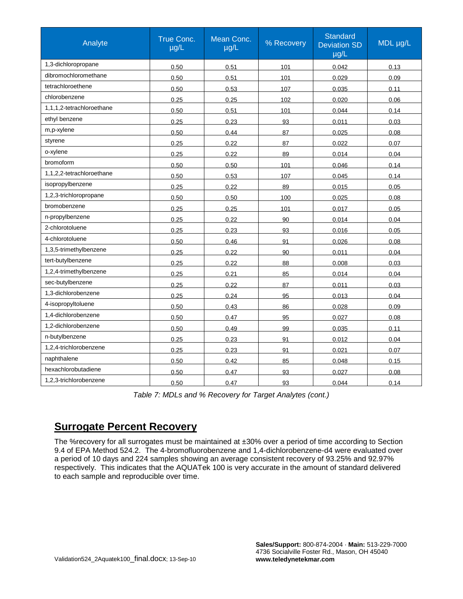| Analyte                   | True Conc.<br>$\mu$ g/L | Mean Conc.<br>$\mu$ g/L | % Recovery | <b>Standard</b><br><b>Deviation SD</b><br>$\mu$ g/L | MDL µg/L |
|---------------------------|-------------------------|-------------------------|------------|-----------------------------------------------------|----------|
| 1,3-dichloropropane       | 0.50                    | 0.51                    | 101        | 0.042                                               | 0.13     |
| dibromochloromethane      | 0.50                    | 0.51                    | 101        | 0.029                                               | 0.09     |
| tetrachloroethene         | 0.50                    | 0.53                    | 107        | 0.035                                               | 0.11     |
| chlorobenzene             | 0.25                    | 0.25                    | 102        | 0.020                                               | 0.06     |
| 1,1,1,2-tetrachloroethane | 0.50                    | 0.51                    | 101        | 0.044                                               | 0.14     |
| ethyl benzene             | 0.25                    | 0.23                    | 93         | 0.011                                               | 0.03     |
| m,p-xylene                | 0.50                    | 0.44                    | 87         | 0.025                                               | 0.08     |
| styrene                   | 0.25                    | 0.22                    | 87         | 0.022                                               | 0.07     |
| o-xylene                  | 0.25                    | 0.22                    | 89         | 0.014                                               | 0.04     |
| bromoform                 | 0.50                    | 0.50                    | 101        | 0.046                                               | 0.14     |
| 1,1,2,2-tetrachloroethane | 0.50                    | 0.53                    | 107        | 0.045                                               | 0.14     |
| isopropylbenzene          | 0.25                    | 0.22                    | 89         | 0.015                                               | 0.05     |
| 1,2,3-trichloropropane    | 0.50                    | 0.50                    | 100        | 0.025                                               | 0.08     |
| bromobenzene              | 0.25                    | 0.25                    | 101        | 0.017                                               | 0.05     |
| n-propylbenzene           | 0.25                    | 0.22                    | 90         | 0.014                                               | 0.04     |
| 2-chlorotoluene           | 0.25                    | 0.23                    | 93         | 0.016                                               | 0.05     |
| 4-chlorotoluene           | 0.50                    | 0.46                    | 91         | 0.026                                               | 0.08     |
| 1,3,5-trimethylbenzene    | 0.25                    | 0.22                    | 90         | 0.011                                               | 0.04     |
| tert-butylbenzene         | 0.25                    | 0.22                    | 88         | 0.008                                               | 0.03     |
| 1,2,4-trimethylbenzene    | 0.25                    | 0.21                    | 85         | 0.014                                               | 0.04     |
| sec-butylbenzene          | 0.25                    | 0.22                    | 87         | 0.011                                               | 0.03     |
| 1,3-dichlorobenzene       | 0.25                    | 0.24                    | 95         | 0.013                                               | 0.04     |
| 4-isopropyltoluene        | 0.50                    | 0.43                    | 86         | 0.028                                               | 0.09     |
| 1.4-dichlorobenzene       | 0.50                    | 0.47                    | 95         | 0.027                                               | 0.08     |
| 1,2-dichlorobenzene       | 0.50                    | 0.49                    | 99         | 0.035                                               | 0.11     |
| n-butylbenzene            | 0.25                    | 0.23                    | 91         | 0.012                                               | 0.04     |
| 1,2,4-trichlorobenzene    | 0.25                    | 0.23                    | 91         | 0.021                                               | 0.07     |
| naphthalene               | 0.50                    | 0.42                    | 85         | 0.048                                               | 0.15     |
| hexachlorobutadiene       | 0.50                    | 0.47                    | 93         | 0.027                                               | 0.08     |
| 1.2.3-trichlorobenzene    | 0.50                    | 0.47                    | 93         | 0.044                                               | 0.14     |

*Table 7: MDLs and % Recovery for Target Analytes (cont.)*

### **Surrogate Percent Recovery**

The %recovery for all surrogates must be maintained at ±30% over a period of time according to Section 9.4 of EPA Method 524.2. The 4-bromofluorobenzene and 1,4-dichlorobenzene-d4 were evaluated over a period of 10 days and 224 samples showing an average consistent recovery of 93.25% and 92.97% respectively. This indicates that the AQUATek 100 is very accurate in the amount of standard delivered to each sample and reproducible over time.